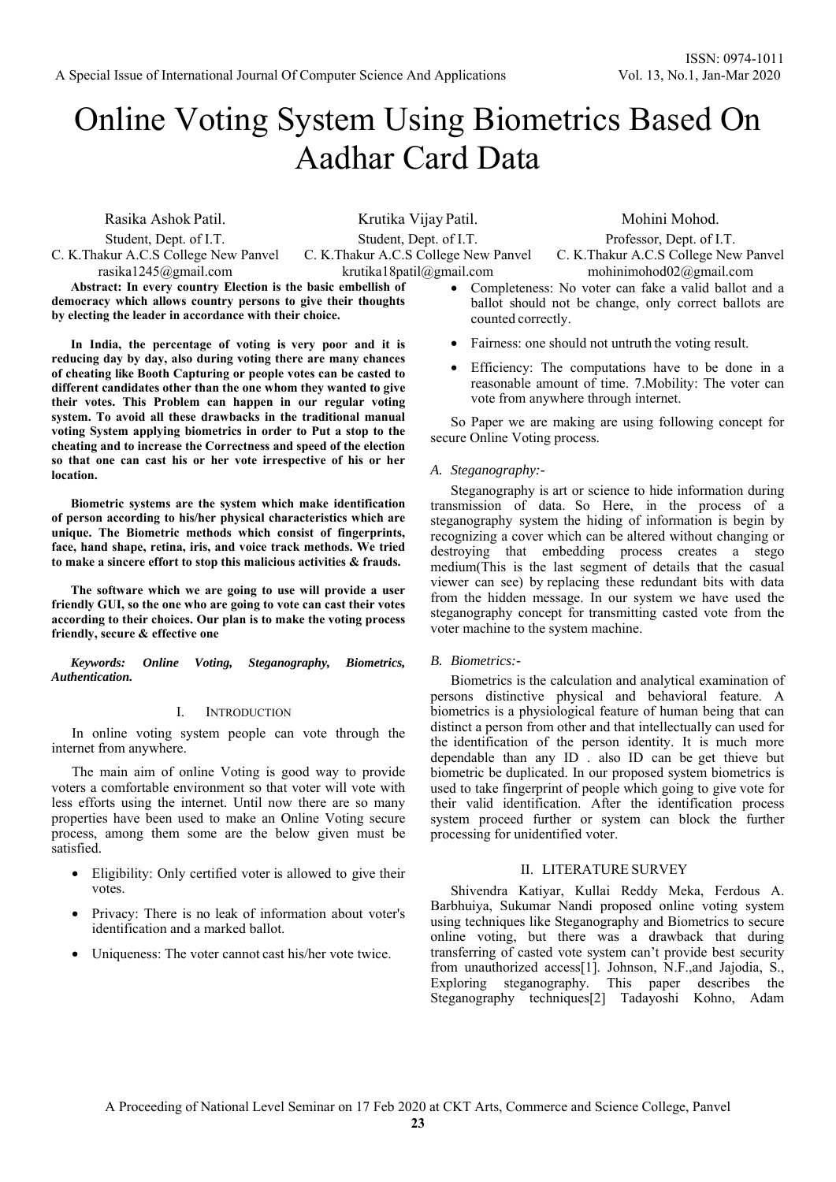# Online Voting System Using Biometrics Based On Aadhar Card Data

Rasika Ashok Patil. Student, Dept. of I.T.

C. K.Thakur A.C.S College New Panvel rasika1245@gmail.com

**Abstract: In every country Election is the basic embellish of democracy which allows country persons to give their thoughts by electing the leader in accordance with their choice.** 

**In India, the percentage of voting is very poor and it is reducing day by day, also during voting there are many chances of cheating like Booth Capturing or people votes can be casted to different candidates other than the one whom they wanted to give their votes. This Problem can happen in our regular voting system. To avoid all these drawbacks in the traditional manual voting System applying biometrics in order to Put a stop to the cheating and to increase the Correctness and speed of the election so that one can cast his or her vote irrespective of his or her location.** 

**Biometric systems are the system which make identification of person according to his/her physical characteristics which are unique. The Biometric methods which consist of fingerprints, face, hand shape, retina, iris, and voice track methods. We tried to make a sincere effort to stop this malicious activities & frauds.** 

**The software which we are going to use will provide a user friendly GUI, so the one who are going to vote can cast their votes according to their choices. Our plan is to make the voting process friendly, secure & effective one** 

*Keywords: Online Voting, Steganography, Biometrics, Authentication.* 

## I. INTRODUCTION

In online voting system people can vote through the internet from anywhere.

The main aim of online Voting is good way to provide voters a comfortable environment so that voter will vote with less efforts using the internet. Until now there are so many properties have been used to make an Online Voting secure process, among them some are the below given must be satisfied.

- Eligibility: Only certified voter is allowed to give their votes.
- Privacy: There is no leak of information about voter's identification and a marked ballot.
- Uniqueness: The voter cannot cast his/her vote twice.

Krutika Vijay Patil. Student, Dept. of I.T. C. K.Thakur A.C.S College New Panvel krutika18patil@gmail.com

Mohini Mohod. Professor, Dept. of I.T.

C. K.Thakur A.C.S College New Panvel mohinimohod02@gmail.com

- Completeness: No voter can fake a valid ballot and a ballot should not be change, only correct ballots are counted correctly.
- Fairness: one should not untruth the voting result.
- Efficiency: The computations have to be done in a reasonable amount of time. 7.Mobility: The voter can vote from anywhere through internet.

So Paper we are making are using following concept for secure Online Voting process.

## *A. Steganography:-*

Steganography is art or science to hide information during transmission of data. So Here, in the process of a steganography system the hiding of information is begin by recognizing a cover which can be altered without changing or destroying that embedding process creates a stego medium(This is the last segment of details that the casual viewer can see) by replacing these redundant bits with data from the hidden message. In our system we have used the steganography concept for transmitting casted vote from the voter machine to the system machine.

## *B. Biometrics:-*

Biometrics is the calculation and analytical examination of persons distinctive physical and behavioral feature. A biometrics is a physiological feature of human being that can distinct a person from other and that intellectually can used for the identification of the person identity. It is much more dependable than any ID . also ID can be get thieve but biometric be duplicated. In our proposed system biometrics is used to take fingerprint of people which going to give vote for their valid identification. After the identification process system proceed further or system can block the further processing for unidentified voter.

#### II. LITERATURE SURVEY

Shivendra Katiyar, Kullai Reddy Meka, Ferdous A. Barbhuiya, Sukumar Nandi proposed online voting system using techniques like Steganography and Biometrics to secure online voting, but there was a drawback that during transferring of casted vote system can't provide best security from unauthorized access[1]. Johnson, N.F.,and Jajodia, S., Exploring steganography. This paper describes the Steganography techniques[2] Tadayoshi Kohno, Adam

A Proceeding of National Level Seminar on 17 Feb 2020 at CKT Arts, Commerce and Science College, Panvel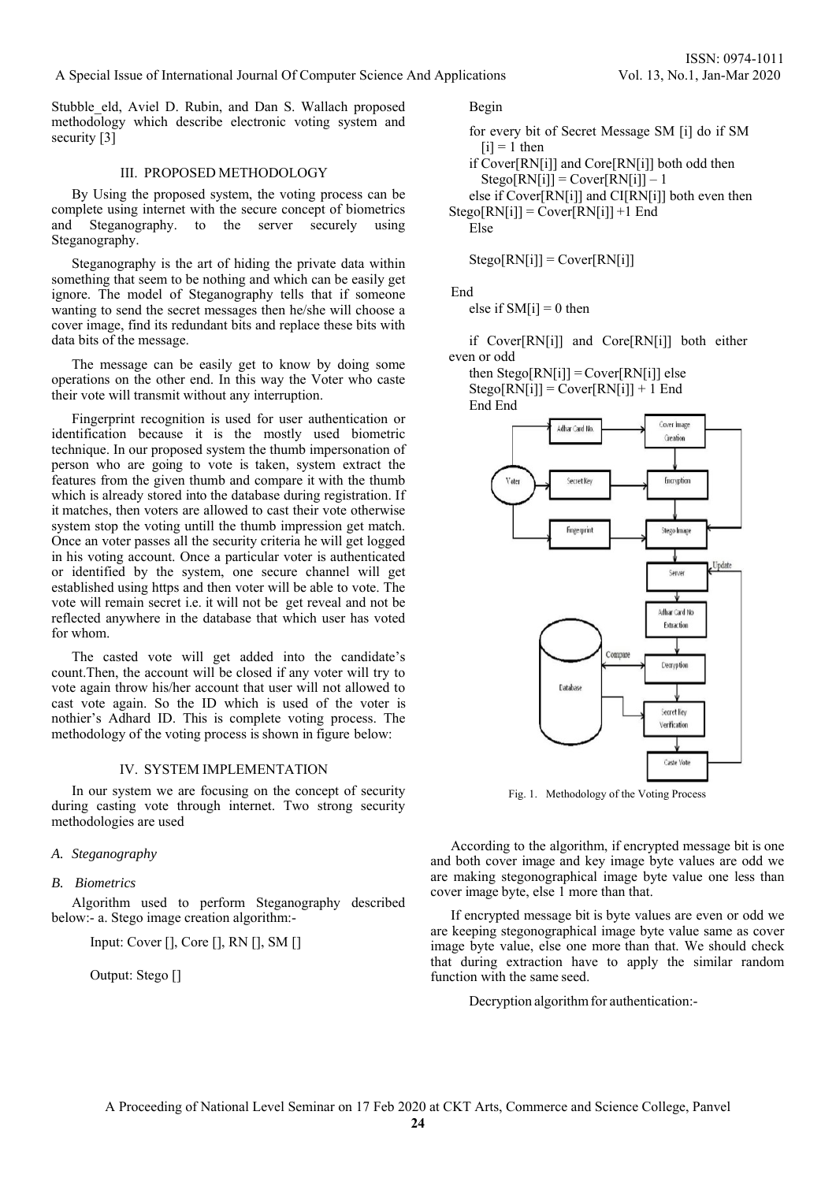Stubble eld, Aviel D. Rubin, and Dan S. Wallach proposed methodology which describe electronic voting system and security [3]

## III. PROPOSED METHODOLOGY

By Using the proposed system, the voting process can be complete using internet with the secure concept of biometrics and Steganography. to the server securely using Steganography.

Steganography is the art of hiding the private data within something that seem to be nothing and which can be easily get ignore. The model of Steganography tells that if someone wanting to send the secret messages then he/she will choose a cover image, find its redundant bits and replace these bits with data bits of the message.

The message can be easily get to know by doing some operations on the other end. In this way the Voter who caste their vote will transmit without any interruption.

Fingerprint recognition is used for user authentication or identification because it is the mostly used biometric technique. In our proposed system the thumb impersonation of person who are going to vote is taken, system extract the features from the given thumb and compare it with the thumb which is already stored into the database during registration. If it matches, then voters are allowed to cast their vote otherwise system stop the voting untill the thumb impression get match. Once an voter passes all the security criteria he will get logged in his voting account. Once a particular voter is authenticated or identified by the system, one secure channel will get established using https and then voter will be able to vote. The vote will remain secret i.e. it will not be get reveal and not be reflected anywhere in the database that which user has voted for whom.

The casted vote will get added into the candidate's count.Then, the account will be closed if any voter will try to vote again throw his/her account that user will not allowed to cast vote again. So the ID which is used of the voter is nothier's Adhard ID. This is complete voting process. The methodology of the voting process is shown in figure below:

## IV. SYSTEM IMPLEMENTATION

In our system we are focusing on the concept of security during casting vote through internet. Two strong security methodologies are used

## *A. Steganography*

## *B. Biometrics*

Algorithm used to perform Steganography described below:- a. Stego image creation algorithm:-

Input: Cover [], Core [], RN [], SM []

Output: Stego []

Begin

for every bit of Secret Message SM [i] do if SM  $[i] = 1$  then

if Cover[RN[i]] and Core[RN[i]] both odd then  $Stego[RN[i]] = Cover[RN[i]] - 1$ 

else if Cover[RN[i]] and CI[RN[i]] both even then  $Stego[RN[i]] = Cover[RN[i]] + 1$  End

Else

 $Stego[RN[i]] = Cover[RN[i]]$ 

End

else if  $SM[i] = 0$  then

if Cover[RN[i]] and Core[RN[i]] both either even or odd

then  $Stego[RN[i]] = Cover[RN[i]]$  else  $Stego[RN[i]] = Cover[RN[i]] + 1$  End End End



Fig. 1. Methodology of the Voting Process

According to the algorithm, if encrypted message bit is one and both cover image and key image byte values are odd we are making stegonographical image byte value one less than cover image byte, else 1 more than that.

If encrypted message bit is byte values are even or odd we are keeping stegonographical image byte value same as cover image byte value, else one more than that. We should check that during extraction have to apply the similar random function with the same seed.

Decryption algorithm for authentication:-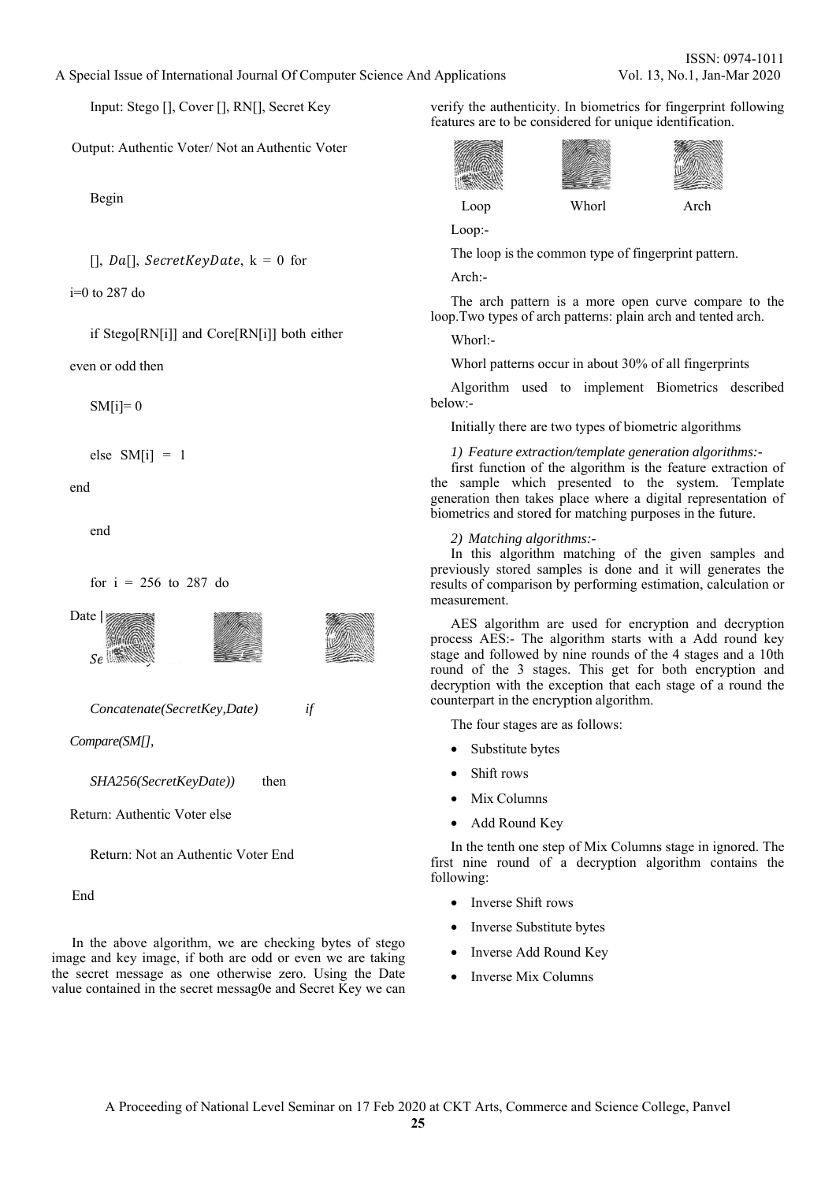A Special Issue of International Journal Of Computer Science And Applications Vol. 13, No.1, Jan-Mar 2020

Input: Stego [], Cover [], RN[], Secret Key

Output: Authentic Voter/ Not an Authentic Voter

Begin

 $[i, Da[i], SecretKeyDate, k = 0 for]$ 

i=0 to 287 do

if Stego[RN[i]] and Core[RN[i]] both either

even or odd then

 $SM[i]=0$ 

$$
else \quad SM[i] = 1
$$

end

end

for  $i = 256$  to 287 do



*Concatenate(SecretKey,Date) if* 

*Compare(SM[],*

*SHA256(SecretKeyDate))* then

Return: Authentic Voter else

Return: Not an Authentic Voter End

End

In the above algorithm, we are checking bytes of stego image and key image, if both are odd or even we are taking the secret message as one otherwise zero. Using the Date value contained in the secret messag0e and Secret Key we can verify the authenticity. In biometrics for fingerprint following features are to be considered for unique identification.

$$
\begin{array}{c}\n\text{Two sides} \\
\text{Loop} \\
\text{Whorl}\n\end{array}
$$



The loop is the common type of fingerprint pattern.

Arch:-

Loop:-

**CONTRACTOR** iit

The arch pattern is a more open curve compare to the loop.Two types of arch patterns: plain arch and tented arch.

Whorl:-

Whorl patterns occur in about 30% of all fingerprints

Algorithm used to implement Biometrics described below:-

Initially there are two types of biometric algorithms

#### *1) Feature extraction/template generation algorithms:-*

first function of the algorithm is the feature extraction of the sample which presented to the system. Template generation then takes place where a digital representation of biometrics and stored for matching purposes in the future.

#### *2) Matching algorithms:-*

In this algorithm matching of the given samples and previously stored samples is done and it will generates the results of comparison by performing estimation, calculation or measurement.

AES algorithm are used for encryption and decryption process AES:- The algorithm starts with a Add round key stage and followed by nine rounds of the 4 stages and a 10th round of the 3 stages. This get for both encryption and decryption with the exception that each stage of a round the counterpart in the encryption algorithm.

The four stages are as follows:

- Substitute bytes
- Shift rows
- Mix Columns
- Add Round Key

In the tenth one step of Mix Columns stage in ignored. The first nine round of a decryption algorithm contains the following:

- Inverse Shift rows
- Inverse Substitute bytes
- Inverse Add Round Key
- Inverse Mix Columns